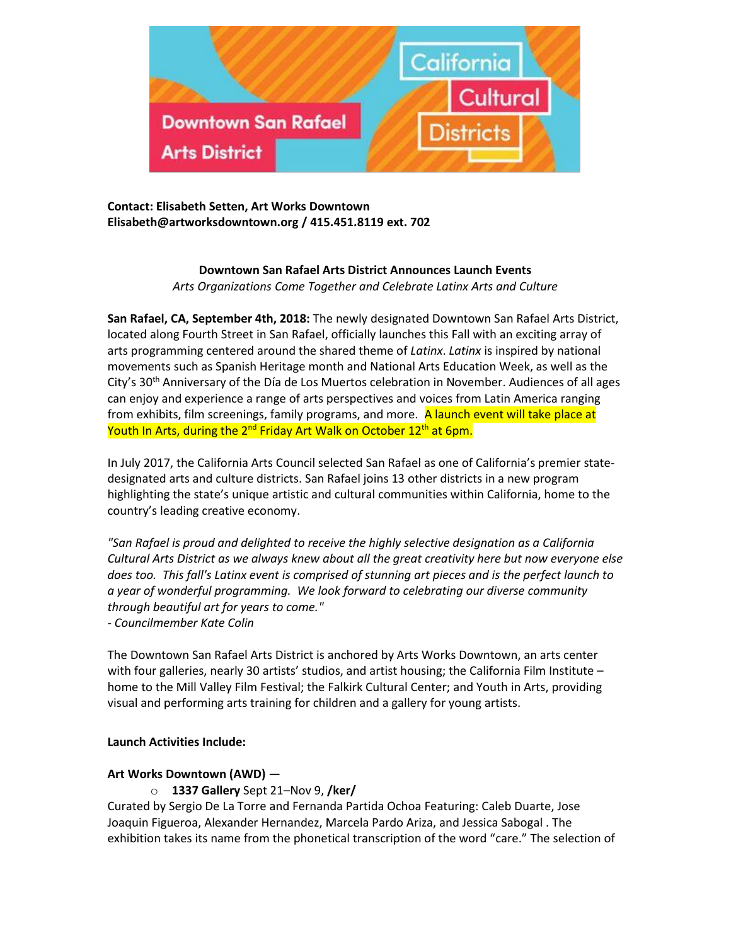

**Contact: Elisabeth Setten, Art Works Downtown [Elisabeth@artworksdowntown.org](mailto:Elisabeth@artworksdowntown.org) / 415.451.8119 ext. 702**

# **Downtown San Rafael Arts District Announces Launch Events** *Arts Organizations Come Together and Celebrate Latinx Arts and Culture*

**San Rafael, CA, September 4th, 2018:** The newly designated Downtown San Rafael Arts District, located along Fourth Street in San Rafael, officially launches this Fall with an exciting array of arts programming centered around the shared theme of *Latinx*. *Latinx* is inspired by national movements such as Spanish Heritage month and National Arts Education Week, as well as the City's 30th Anniversary of the Día de Los Muertos celebration in November. Audiences of all ages can enjoy and experience a range of arts perspectives and voices from Latin America ranging from exhibits, film screenings, family programs, and more. A launch event will take place at Youth In Arts, during the 2<sup>nd</sup> Friday Art Walk on October 12<sup>th</sup> at 6pm.

In July 2017, the California Arts Council selected San Rafael as one of California's premier [state](https://www.caculturaldistricts.org/)[designated arts and culture districts.](https://www.caculturaldistricts.org/) San Rafael joins 13 other districts in a new program highlighting the state's unique artistic and cultural communities within California, home to the country's leading creative economy.

*"San Rafael is proud and delighted to receive the highly selective designation as a California Cultural Arts District as we always knew about all the great creativity here but now everyone else does too. This fall's Latinx event is comprised of stunning art pieces and is the perfect launch to a year of wonderful programming. We look forward to celebrating our diverse community through beautiful art for years to come." - Councilmember Kate Colin*

The Downtown San Rafael Arts District is anchored by Arts Works Downtown, an arts center with four galleries, nearly 30 artists' studios, and artist housing; the California Film Institute – home to the Mill Valley Film Festival; the Falkirk Cultural Center; and Youth in Arts, providing visual and performing arts training for children and a gallery for young artists.

# **Launch Activities Include:**

# **Art Works Downtown (AWD)** —

o **1337 Gallery** Sept 21–Nov 9, **/ker/**

Curated by Sergio De La Torre and Fernanda Partida Ochoa Featuring: Caleb Duarte, Jose Joaquin Figueroa, Alexander Hernandez, Marcela Pardo Ariza, and Jessica Sabogal . The exhibition takes its name from the phonetical transcription of the word "care." The selection of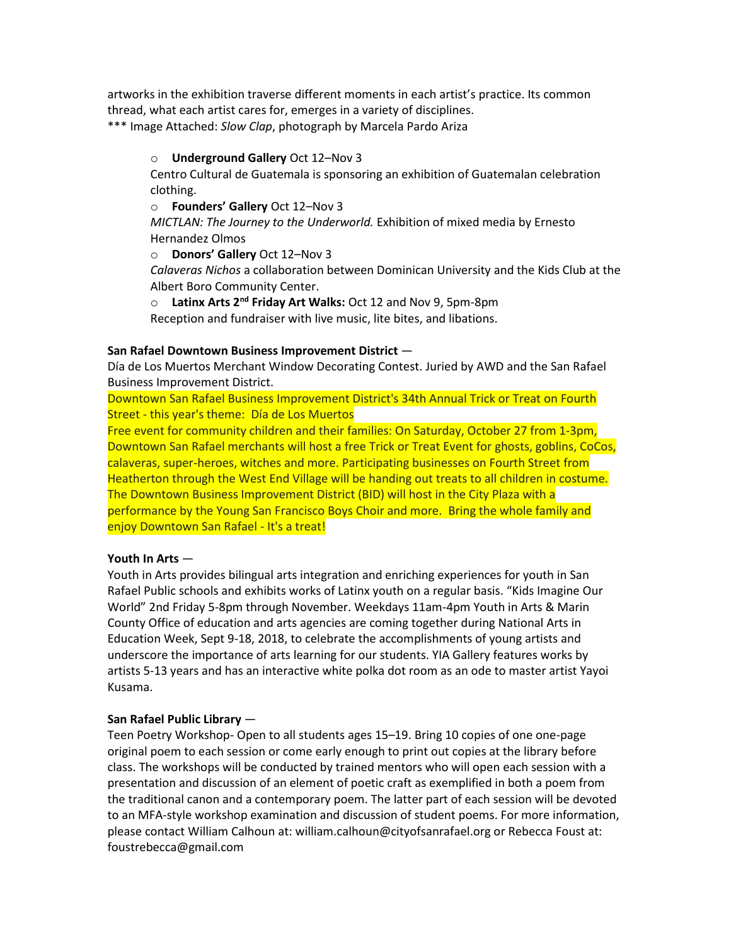artworks in the exhibition traverse different moments in each artist's practice. Its common thread, what each artist cares for, emerges in a variety of disciplines. \*\*\* Image Attached: *Slow Clap*, photograph by Marcela Pardo Ariza

o **Underground Gallery** Oct 12–Nov 3

Centro Cultural de Guatemala is sponsoring an exhibition of Guatemalan celebration clothing.

o **Founders' Gallery** Oct 12–Nov 3

*MICTLAN: The Journey to the Underworld.* Exhibition of mixed media by Ernesto Hernandez Olmos

o **Donors' Gallery** Oct 12–Nov 3

*Calaveras Nichos* a collaboration between Dominican University and the Kids Club at the Albert Boro Community Center.

o **Latinx Arts 2nd Friday Art Walks:** Oct 12 and Nov 9, 5pm-8pm

Reception and fundraiser with live music, lite bites, and libations.

## **San Rafael Downtown Business Improvement District** —

Día de Los Muertos Merchant Window Decorating Contest. Juried by AWD and the San Rafael Business Improvement District.

Downtown San Rafael Business Improvement District's 34th Annual Trick or Treat on Fourth Street - this year's theme: Día de Los Muertos

Free event for community children and their families: On Saturday, October 27 from 1-3pm, Downtown San Rafael merchants will host a free Trick or Treat Event for ghosts, goblins, CoCos, calaveras, super-heroes, witches and more. Participating businesses on Fourth Street from Heatherton through the West End Village will be handing out treats to all children in costume. The Downtown Business Improvement District (BID) will host in the City Plaza with a performance by the Young San Francisco Boys Choir and more. Bring the whole family and enjoy Downtown San Rafael - It's a treat!

# **Youth In Arts** —

Youth in Arts provides bilingual arts integration and enriching experiences for youth in San Rafael Public schools and exhibits works of Latinx youth on a regular basis. "Kids Imagine Our World" 2nd Friday 5-8pm through November. Weekdays 11am-4pm Youth in Arts & Marin County Office of education and arts agencies are coming together during National Arts in Education Week, Sept 9-18, 2018, to celebrate the accomplishments of young artists and underscore the importance of arts learning for our students. YIA Gallery features works by artists 5-13 years and has an interactive white polka dot room as an ode to master artist Yayoi Kusama.

# **San Rafael Public Library** —

Teen Poetry Workshop- Open to all students ages 15–19. Bring 10 copies of one one-page original poem to each session or come early enough to print out copies at the library before class. The workshops will be conducted by trained mentors who will open each session with a presentation and discussion of an element of poetic craft as exemplified in both a poem from the traditional canon and a contemporary poem. The latter part of each session will be devoted to an MFA-style workshop examination and discussion of student poems. For more information, please contact William Calhoun at: william.calhoun@cityofsanrafael.org or Rebecca Foust at: foustrebecca@gmail.com